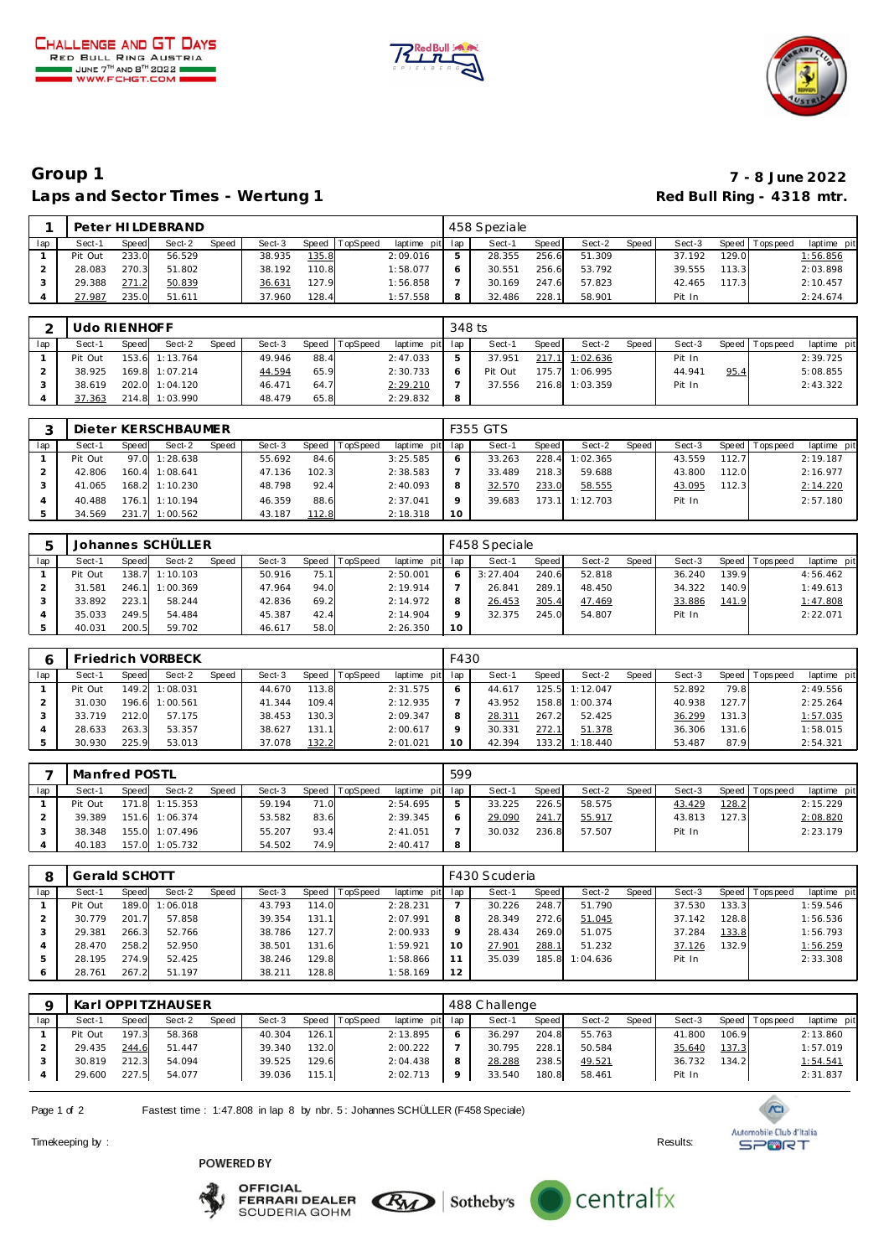





# **Group 1 7 - 8 June 2022** Laps and Sector Times - Wertung 1 **Red Bull Ring - 4318 mtr. Red Bull Ring - 4318 mtr.**

|     |         |       | Peter HILDEBRAND |       |        |       |          |             |     | 458 Speziale |       |        |       |        |       |                 |                |
|-----|---------|-------|------------------|-------|--------|-------|----------|-------------|-----|--------------|-------|--------|-------|--------|-------|-----------------|----------------|
| lap | Sect-1  | Speed | Sect-2           | Speed | Sect-3 | Speed | TopSpeed | laptime pit | lap | Sect-1       | Speed | Sect-2 | Speed | Sect-3 |       | Speed Tops peed | laptime pit    |
|     | Pit Out | 233.0 | 56.529           |       | 38.935 | 135.8 |          | 2:09.016    |     | 28.355       | 256.6 | 51.309 |       | 37.192 | 129.0 |                 | 1:56.856       |
|     | 28.083  | 270.3 | 51.802           |       | 38.192 | 110.8 |          | 1:58.077    |     | 30.55        | 256.6 | 53.792 |       | 39.555 |       |                 | 2:03.898       |
|     | 29.388  | 271   | 50.839           |       | 36.631 | 127.9 |          | 1:56.858    |     | 30.169       | 247.6 | 57.823 |       | 42.465 |       |                 | 2:10.457       |
|     | 27.987  | 235.0 | 51.611           |       | 37.960 | 128.4 |          | 1:57.558    | 8   | 32.486       | 228.1 | 58.901 |       | Pit In |       |                 | 2:24.674       |
|     |         |       |                  |       |        |       |          |             |     |              |       |        |       |        |       |                 | 113.3<br>117.3 |

|     | Udo RIENHOFF |       |                |       |        |       |          |                 | 348 ts |         |         |                |         |        |      |                 |             |
|-----|--------------|-------|----------------|-------|--------|-------|----------|-----------------|--------|---------|---------|----------------|---------|--------|------|-----------------|-------------|
| lap | Sect-1       | Speed | Sect-2         | Speed | Sect-3 | Speed | TopSpeed | laptime pit lap |        | Sect-1  | Speed I | Sect-2         | Speed I | Sect-3 |      | Speed Tops peed | laptime pit |
|     | Pit Out      |       | 153.6 1:13.764 |       | 49.946 | 88.4  |          | 2:47.033        |        | 37.951  | 217.1   | 1:02.636       |         | Pit In |      |                 | 2:39.725    |
|     | 38.925       |       | 169.8 1:07.214 |       | 44.594 | 65.9  |          | 2:30.733        |        | Pit Out | 175.7   | 1:06.995       |         | 44.941 | 95.4 |                 | 5:08.855    |
|     | 38.619       |       | 202.0 1:04.120 |       | 46.471 | 64.7  |          | 2:29.210        |        | 37.556  |         | 216.8 1:03.359 |         | Pit In |      |                 | 2:43.322    |
|     | 37.363       |       | 214.8 1:03.990 |       | 48.479 | 65.8  |          | 2:29.832        | 8      |         |         |                |         |        |      |                 |             |

|     |         |       | Dieter KERSCHBAUMER |       |        |       |          |                 |         | <b>F355 GTS</b> |       |          |       |        |       |                   |             |
|-----|---------|-------|---------------------|-------|--------|-------|----------|-----------------|---------|-----------------|-------|----------|-------|--------|-------|-------------------|-------------|
| lap | Sect-1  | Speed | Sect-2              | Speed | Sect-3 | Speed | TopSpeed | laptime pit lap |         | Sect-1          | Speed | Sect-2   | Speed | Sect-3 |       | Speed   Tops peed | laptime pit |
|     | Pit Out |       | 97.0 1:28.638       |       | 55.692 | 84.6  |          | 3:25.585        | $\circ$ | 33.263          | 228.4 | 1:02.365 |       | 43.559 | 112.7 |                   | 2:19.187    |
|     | 42.806  |       | 160.4 1:08.641      |       | 47.136 | 102.3 |          | 2:38.583        |         | 33.489          | 218.3 | 59.688   |       | 43.800 | 112.0 |                   | 2:16.977    |
|     | 41.065  |       | 168.2 1:10.230      |       | 48.798 | 92.4  |          | 2:40.093        | 8       | 32.570          | 233.0 | 58.555   |       | 43.095 | 112.3 |                   | 2:14.220    |
|     | 40.488  |       | 176.1 1:10.194      |       | 46.359 | 88.6  |          | 2:37.041        | $\circ$ | 39.683          | 173.1 | 1:12.703 |       | Pit In |       |                   | 2:57.180    |
|     | 34.569  |       | 231.7 1:00.562      |       | 43.187 | 112.8 |          | 2:18.318        | 10      |                 |       |          |       |        |       |                   |             |

|     |         |       | Johannes SCHÜLLER |              |        |      |                  |             |         | F458 Speciale |              |        |       |        |         |            |             |
|-----|---------|-------|-------------------|--------------|--------|------|------------------|-------------|---------|---------------|--------------|--------|-------|--------|---------|------------|-------------|
| lap | Sect-1  | Speed | Sect-2            | <b>Speed</b> | Sect-3 |      | Speed   TopSpeed | laptime pit | lap     | Sect-1        | <b>Speed</b> | Sect-2 | Speed | Sect-3 | Speed I | T ops peed | laptime pit |
|     | Pit Out |       | 138.7 1:10.103    |              | 50.916 | 75.1 |                  | 2:50.001    | 6       | 3:27.404      | 240.6        | 52.818 |       | 36.240 | 139.9   |            | 4:56.462    |
|     | 31.581  |       | 246.1 1:00.369    |              | 47.964 | 94.0 |                  | 2:19.914    |         | 26.841        | 289.1        | 48.450 |       | 34.322 | 140.9   |            | 1:49.613    |
|     | 33.892  | 223.1 | 58.244            |              | 42.836 | 69.2 |                  | 2:14.972    | 8       | 26.453        | 305.4        | 47.469 |       | 33.886 | 141.9   |            | 1:47.808    |
|     | 35.033  | 249.5 | 54.484            |              | 45.387 | 42.4 |                  | 2:14.904    | $\circ$ | 32.375        | 245.0        | 54.807 |       | Pit In |         |            | 2:22.071    |
|     | 40.031  | 200.5 | 59.702            |              | 46.617 | 58.0 |                  | 2:26.350    | 10      |               |              |        |       |        |         |            |             |

|     |         |       | <b>Friedrich VORBECK</b> |       |        |       |                  |             | F430 |        |       |          |       |        |        |            |             |
|-----|---------|-------|--------------------------|-------|--------|-------|------------------|-------------|------|--------|-------|----------|-------|--------|--------|------------|-------------|
| lap | Sect-1  | Speed | Sect-2                   | Speed | Sect-3 |       | Speed   TopSpeed | laptime pit | lap  | Sect-  | Speed | Sect-2   | Speed | Sect-3 | Speed  | l Topspeed | laptime pit |
|     | Pit Out | 149.2 | 1:08.031                 |       | 44.670 | 113.8 |                  | 2:31.575    | O    | 44.617 | 125.5 | 1:12.047 |       | 52.892 | 79.8   |            | 2:49.556    |
|     | 31.030  | 196.6 | 1:00.561                 |       | 41.344 | 109.4 |                  | 2:12.935    |      | 43.952 | 158.8 | 1:00.374 |       | 40.938 | 127.7  |            | 2:25.264    |
|     | 33.719  | 212.0 | 57.175                   |       | 38.453 | 130.3 |                  | 2:09.347    | 8    | 28.311 | 267.2 | 52.425   |       | 36.299 | 131.3  |            | 1:57.035    |
|     | 28.633  | 263.3 | 53.357                   |       | 38.627 | 131.1 |                  | 2:00.617    | o    | 30.331 | 272.1 | 51.378   |       | 36.306 | 131.61 |            | 1:58.015    |
|     | 30.930  | 225.9 | 53.013                   |       | 37.078 | 132.2 |                  | 2:01.021    | 10   | 42.394 | 133.2 | 1:18.440 |       | 53.487 | 87.9   |            | 2:54.321    |

|     | Manfred POSTL |              |                |       |        |       |          |                 | 599        |        |       |        |       |        |               |                 |             |
|-----|---------------|--------------|----------------|-------|--------|-------|----------|-----------------|------------|--------|-------|--------|-------|--------|---------------|-----------------|-------------|
| lap | Sect-1        | <b>Speed</b> | Sect-2         | Speed | Sect-3 | Speed | TopSpeed | laptime pit lap |            | Sect-1 | Speed | Sect-2 | Speed | Sect-3 |               | Speed Tops peed | laptime pit |
|     | Pit Out       |              | 171.8 1:15.353 |       | 59.194 | 71.0  |          | 2:54.695        | ь          | 33.225 | 226.5 | 58.575 |       | 43.429 | <u> 128.2</u> |                 | 2:15.229    |
|     | 39.389        |              | 151.6 1:06.374 |       | 53.582 | 83.6  |          | 2:39.345        | $\epsilon$ | 29.090 | 241.7 | 55.917 |       | 43.813 | 127.3         |                 | 2:08.820    |
|     | 38.348        |              | 155.0 1:07.496 |       | 55.207 | 93.4  |          | 2:41.051        |            | 30.032 | 236.8 | 57.507 |       | Pit In |               |                 | 2:23.179    |
|     | 40.183        |              | 157.0 1:05.732 |       | 54.502 | 74.9  |          | 2:40.417        | 8          |        |       |        |       |        |               |                 |             |

|               | Gerald SCHOTT |       |          |       |        |       |          |                 |         | F430 Scuderia |       |          |       |        |       |                 |             |
|---------------|---------------|-------|----------|-------|--------|-------|----------|-----------------|---------|---------------|-------|----------|-------|--------|-------|-----------------|-------------|
| lap           | Sect-1        | Speed | Sect-2   | Speed | Sect-3 | Speed | TopSpeed | laptime pit lap |         | Sect-1        | Speed | Sect-2   | Speed | Sect-3 |       | Speed Tops peed | laptime pit |
|               | Pit Out       | 189.0 | 1:06.018 |       | 43.793 | 114.0 |          | 2:28.231        |         | 30.226        | 248.7 | 51.790   |       | 37.530 | 133.3 |                 | 1:59.546    |
|               | 30.779        | 201.7 | 57.858   |       | 39.354 | 131.1 |          | 2:07.991        | 8       | 28.349        | 272.6 | 51.045   |       | 37.142 | 128.8 |                 | 1:56.536    |
|               | 29.381        | 266.3 | 52.766   |       | 38.786 | 127.7 |          | 2:00.933        | $\circ$ | 28.434        | 269.0 | 51.075   |       | 37.284 | 133.8 |                 | 1:56.793    |
|               | 28.470        | 258.2 | 52.950   |       | 38.501 | 131.6 |          | 1:59.921        | 10      | 27.901        | 288.1 | 51.232   |       | 37.126 | 132.9 |                 | 1:56.259    |
| $\mathcal{P}$ | 28.195        | 274.9 | 52.425   |       | 38.246 | 129.8 |          | 1:58.866        |         | 35.039        | 185.8 | 1:04.636 |       | Pit In |       |                 | 2:33.308    |
| 6             | 28.761        | 267.2 | 51.197   |       | 38.211 | 128.8 |          | 1:58.169        | 12      |               |       |          |       |        |       |                 |             |

|     |         |       | Karl OPPI TZHAUSER |              |        |       |          |                 | 488 Challenge |       |        |         |        |       |                 |             |
|-----|---------|-------|--------------------|--------------|--------|-------|----------|-----------------|---------------|-------|--------|---------|--------|-------|-----------------|-------------|
| lap | Sect-1  | Speed | Sect-2             | <b>Speed</b> | Sect-3 | Speed | TopSpeed | laptime pit lap | Sect-1        | Speed | Sect-2 | Speed I | Sect-3 |       | Speed Tops peed | laptime pit |
|     | Pit Out | 197.3 | 58.368             |              | 40.304 | 126.1 |          | 2:13.895        | 36.297        | 204.8 | 55.763 |         | 41.800 | 106.9 |                 | 2:13.860    |
|     | 29.435  | 244.6 | 51.447             |              | 39.340 | 132.0 |          | 2:00.222        | 30.795        | 228.1 | 50.584 |         | 35.640 | 137.3 |                 | 1:57.019    |
|     | 30.819  | 212.3 | 54.094             |              | 39.525 | 129.6 |          | 2:04.438        | 28.288        | 238.5 | 49.521 |         | 36.732 | 134.2 |                 | 1:54.541    |
|     | 29.600  | 227.5 | 54.077             |              | 39.036 | 115.1 |          | 2:02.713        | 33.540        | 180.8 | 58.461 |         | Pit In |       |                 | 2:31.837    |

Page 1 of 2 Fastest time : 1:47.808 in lap 8 by nbr. 5 : Johannes SCHÜLLER (F458 Speciale)

Timekeeping by : Results: Results: Results: Results: Results: Results: Results: Results: Results: Results: Results: Results: Results: Results: Results: Results: Results: Results: Results: Results: Results: Results: Results











 $\sqrt{C}$ Automobile Club d'Italia **SPORT**